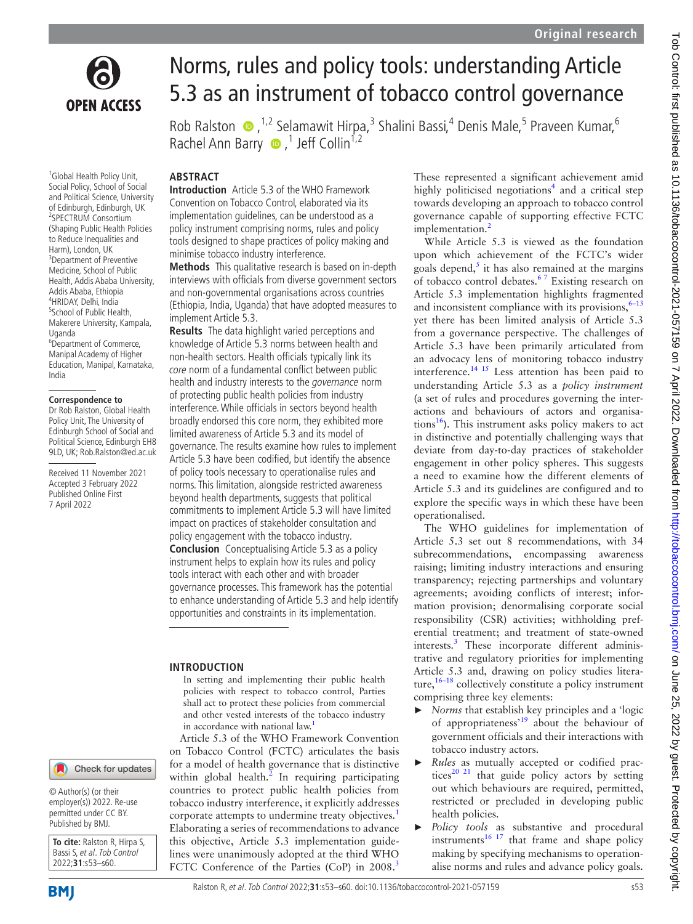

<sup>1</sup>Global Health Policy Unit, Social Policy, School of Social and Political Science, University of Edinburgh, Edinburgh, UK 2 SPECTRUM Consortium (Shaping Public Health Policies to Reduce Inequalities and Harm), London, UK <sup>3</sup>Department of Preventive Medicine, School of Public Health, Addis Ababa University, Addis Ababa, Ethiopia 4 HRIDAY, Delhi, India <sup>5</sup>School of Public Health, Makerere University, Kampala,

<sup>6</sup>Department of Commerce, Manipal Academy of Higher Education, Manipal, Karnataka,

**Correspondence to** Dr Rob Ralston, Global Health Policy Unit, The University of Edinburgh School of Social and Political Science, Edinburgh EH8 9LD, UK; Rob.Ralston@ed.ac.uk Received 11 November 2021 Accepted 3 February 2022 Published Online First 7 April 2022

Uganda

India

# Norms, rules and policy tools: understanding Article 5.3 as an instrument of tobacco control governance

Rob Ralston  $\bullet$ , <sup>1,2</sup> Selamawit Hirpa,<sup>3</sup> Shalini Bassi,<sup>4</sup> Denis Male,<sup>5</sup> Praveen Kumar,<sup>6</sup> RachelAnn Barry <sup>1</sup>,<sup>1</sup> Jeff Collin<sup>1,2</sup>

## **ABSTRACT**

**Introduction** Article 5.3 of the WHO Framework Convention on Tobacco Control, elaborated via its implementation guidelines, can be understood as a policy instrument comprising norms, rules and policy tools designed to shape practices of policy making and minimise tobacco industry interference.

**Methods** This qualitative research is based on in-depth interviews with officials from diverse government sectors and non-governmental organisations across countries (Ethiopia, India, Uganda) that have adopted measures to implement Article 5.3.

**Results** The data highlight varied perceptions and knowledge of Article 5.3 norms between health and non-health sectors. Health officials typically link its core norm of a fundamental conflict between public health and industry interests to the *governance* norm of protecting public health policies from industry interference. While officials in sectors beyond health broadly endorsed this core norm, they exhibited more limited awareness of Article 5.3 and its model of governance. The results examine how rules to implement Article 5.3 have been codified, but identify the absence of policy tools necessary to operationalise rules and norms. This limitation, alongside restricted awareness beyond health departments, suggests that political commitments to implement Article 5.3 will have limited impact on practices of stakeholder consultation and policy engagement with the tobacco industry. **Conclusion** Conceptualising Article 5.3 as a policy instrument helps to explain how its rules and policy tools interact with each other and with broader governance processes. This framework has the potential to enhance understanding of Article 5.3 and help identify opportunities and constraints in its implementation.

## **INTRODUCTION**

In setting and implementing their public health policies with respect to tobacco control, Parties shall act to protect these policies from commercial and other vested interests of the tobacco industry in accordance with national law.

Article 5.3 of the WHO Framework Convention on Tobacco Control (FCTC) articulates the basis for a model of health governance that is distinctive within global health. $^2$  In requiring participating countries to protect public health policies from tobacco industry interference, it explicitly addresses corporate attempts to undermine treaty objectives.<sup>[1](#page-6-0)</sup> Elaborating a series of recommendations to advance this objective, Article 5.3 implementation guidelines were unanimously adopted at the third WHO FCTC Conference of the Parties (CoP) in 2008.<sup>[3](#page-6-2)</sup>

These represented a significant achievement amid highly politicised negotiations<sup>[4](#page-6-3)</sup> and a critical step towards developing an approach to tobacco control governance capable of supporting effective FCTC implementation.<sup>[2](#page-6-1)</sup>

While Article 5.3 is viewed as the foundation upon which achievement of the FCTC's wider goals depend, $\frac{s}{s}$  it has also remained at the margins of tobacco control debates.<sup>67</sup> Existing research on Article 5.3 implementation highlights fragmented and inconsistent compliance with its provisions,  $6-13$ yet there has been limited analysis of Article 5.3 from a governance perspective. The challenges of Article 5.3 have been primarily articulated from an advocacy lens of monitoring tobacco industry interference[.14 15](#page-6-6) Less attention has been paid to understanding Article 5.3 as a *policy instrument* (a set of rules and procedures governing the interactions and behaviours of actors and organisations $^{16}$  $^{16}$  $^{16}$ ). This instrument asks policy makers to act in distinctive and potentially challenging ways that deviate from day-to-day practices of stakeholder engagement in other policy spheres. This suggests a need to examine how the different elements of Article 5.3 and its guidelines are configured and to explore the specific ways in which these have been operationalised.

The WHO guidelines for implementation of Article 5.3 set out 8 recommendations, with 34 subrecommendations, encompassing awareness raising; limiting industry interactions and ensuring transparency; rejecting partnerships and voluntary agreements; avoiding conflicts of interest; information provision; denormalising corporate social responsibility (CSR) activities; withholding preferential treatment; and treatment of state-owned interests.<sup>[3](#page-6-2)</sup> These incorporate different administrative and regulatory priorities for implementing Article 5.3 and, drawing on policy studies literature,  $16-18$  collectively constitute a policy instrument comprising three key elements:

- ► *Norms* that establish key principles and a 'logic of appropriateness'[19](#page-6-8) about the behaviour of government officials and their interactions with tobacco industry actors.
- ► *Rules* as mutually accepted or codified practices<sup>20 21</sup> that guide policy actors by setting out which behaviours are required, permitted, restricted or precluded in developing public health policies.
- Policy tools as substantive and procedural instruments<sup>16 17</sup> that frame and shape policy making by specifying mechanisms to operationalise norms and rules and advance policy goals.

## Check for updates

© Author(s) (or their employer(s)) 2022. Re-use permitted under CC BY. Published by BMJ.

**To cite:** Ralston R, Hirpa S, Bassi S, et al. Tob Control 2022;**31**:s53–s60.

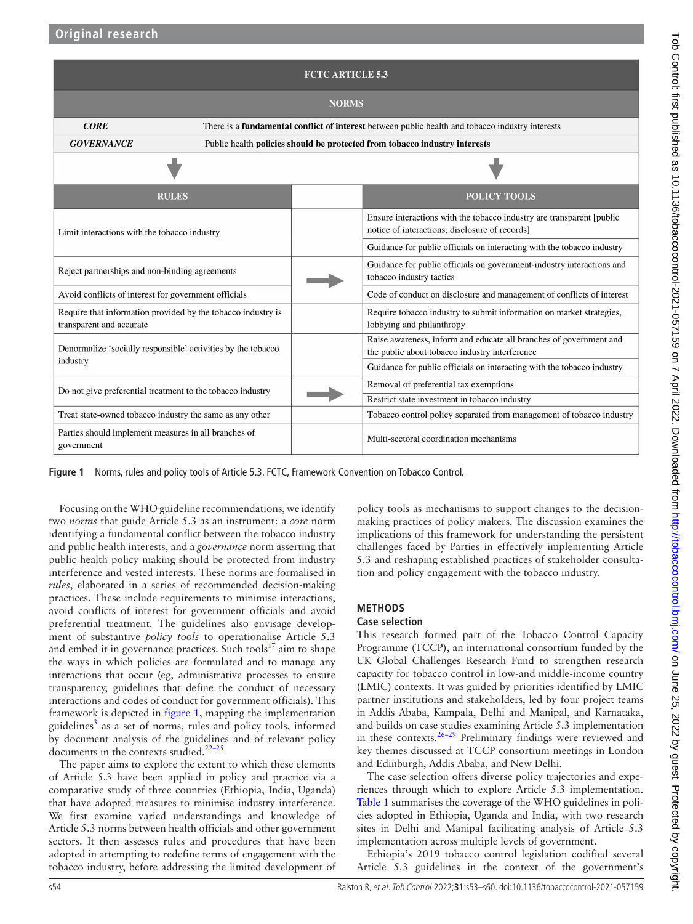| <b>FCTC ARTICLE 5.3</b>                                                                                                |                                                                            |  |                                                                                                                          |  |  |  |  |
|------------------------------------------------------------------------------------------------------------------------|----------------------------------------------------------------------------|--|--------------------------------------------------------------------------------------------------------------------------|--|--|--|--|
| <b>NORMS</b>                                                                                                           |                                                                            |  |                                                                                                                          |  |  |  |  |
| <b>CORE</b><br>There is a <b>fundamental conflict of interest</b> between public health and tobacco industry interests |                                                                            |  |                                                                                                                          |  |  |  |  |
| <b>GOVERNANCE</b>                                                                                                      | Public health policies should be protected from tobacco industry interests |  |                                                                                                                          |  |  |  |  |
|                                                                                                                        |                                                                            |  |                                                                                                                          |  |  |  |  |
| <b>RULES</b>                                                                                                           |                                                                            |  | <b>POLICY TOOLS</b>                                                                                                      |  |  |  |  |
| Limit interactions with the tobacco industry                                                                           |                                                                            |  | Ensure interactions with the tobacco industry are transparent [public]<br>notice of interactions; disclosure of records] |  |  |  |  |
|                                                                                                                        |                                                                            |  | Guidance for public officials on interacting with the tobacco industry                                                   |  |  |  |  |
| Reject partnerships and non-binding agreements                                                                         |                                                                            |  | Guidance for public officials on government-industry interactions and<br>tobacco industry tactics                        |  |  |  |  |
| Avoid conflicts of interest for government officials                                                                   |                                                                            |  | Code of conduct on disclosure and management of conflicts of interest                                                    |  |  |  |  |
| Require that information provided by the tobacco industry is<br>transparent and accurate                               |                                                                            |  | Require tobacco industry to submit information on market strategies,<br>lobbying and philanthropy                        |  |  |  |  |
| Denormalize 'socially responsible' activities by the tobacco<br>industry                                               |                                                                            |  | Raise awareness, inform and educate all branches of government and<br>the public about tobacco industry interference     |  |  |  |  |
|                                                                                                                        |                                                                            |  | Guidance for public officials on interacting with the tobacco industry                                                   |  |  |  |  |
| Do not give preferential treatment to the tobacco industry                                                             |                                                                            |  | Removal of preferential tax exemptions                                                                                   |  |  |  |  |
|                                                                                                                        |                                                                            |  | Restrict state investment in tobacco industry                                                                            |  |  |  |  |
| Treat state-owned tobacco industry the same as any other                                                               |                                                                            |  | Tobacco control policy separated from management of tobacco industry                                                     |  |  |  |  |
| Parties should implement measures in all branches of<br>government                                                     |                                                                            |  | Multi-sectoral coordination mechanisms                                                                                   |  |  |  |  |

<span id="page-1-0"></span>**Figure 1** Norms, rules and policy tools of Article 5.3. FCTC, Framework Convention on Tobacco Control.

Focusing on the WHO guideline recommendations, we identify two *norms* that guide Article 5.3 as an instrument: a *core* norm identifying a fundamental conflict between the tobacco industry and public health interests, and a *governance* norm asserting that public health policy making should be protected from industry interference and vested interests. These norms are formalised in *rules*, elaborated in a series of recommended decision-making practices. These include requirements to minimise interactions, avoid conflicts of interest for government officials and avoid preferential treatment. The guidelines also envisage development of substantive *policy tools* to operationalise Article 5.3 and embed it in governance practices. Such tools<sup>17</sup> aim to shape the ways in which policies are formulated and to manage any interactions that occur (eg, administrative processes to ensure transparency, guidelines that define the conduct of necessary interactions and codes of conduct for government officials). This framework is depicted in [figure](#page-1-0) 1, mapping the implementation guidelines<sup>[3](#page-6-2)</sup> as a set of norms, rules and policy tools, informed by document analysis of the guidelines and of relevant policy documents in the contexts studied. $22-25$ 

The paper aims to explore the extent to which these elements of Article 5.3 have been applied in policy and practice via a comparative study of three countries (Ethiopia, India, Uganda) that have adopted measures to minimise industry interference. We first examine varied understandings and knowledge of Article 5.3 norms between health officials and other government sectors. It then assesses rules and procedures that have been adopted in attempting to redefine terms of engagement with the tobacco industry, before addressing the limited development of policy tools as mechanisms to support changes to the decisionmaking practices of policy makers. The discussion examines the implications of this framework for understanding the persistent challenges faced by Parties in effectively implementing Article 5.3 and reshaping established practices of stakeholder consultation and policy engagement with the tobacco industry.

## **METHODS**

## **Case selection**

This research formed part of the Tobacco Control Capacity Programme (TCCP), an international consortium funded by the UK Global Challenges Research Fund to strengthen research capacity for tobacco control in low-and middle-income country (LMIC) contexts. It was guided by priorities identified by LMIC partner institutions and stakeholders, led by four project teams in Addis Ababa, Kampala, Delhi and Manipal, and Karnataka, and builds on case studies examining Article 5.3 implementation in these contexts. $26-29$  Preliminary findings were reviewed and key themes discussed at TCCP consortium meetings in London and Edinburgh, Addis Ababa, and New Delhi.

The case selection offers diverse policy trajectories and experiences through which to explore Article 5.3 implementation. [Table](#page-2-0) 1 summarises the coverage of the WHO guidelines in policies adopted in Ethiopia, Uganda and India, with two research sites in Delhi and Manipal facilitating analysis of Article 5.3 implementation across multiple levels of government.

Ethiopia's 2019 tobacco control legislation codified several Article 5.3 guidelines in the context of the government's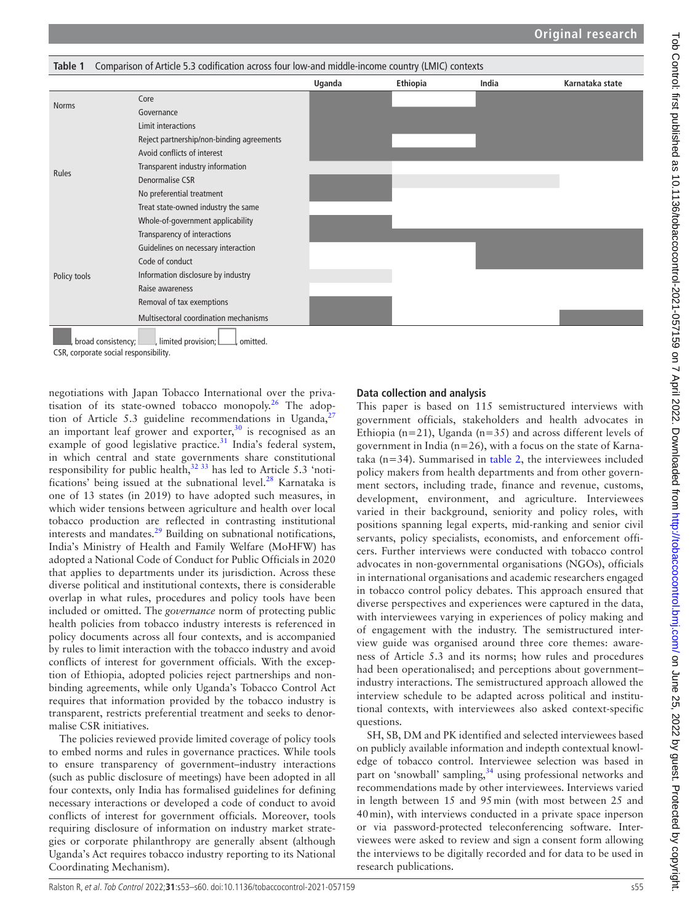<span id="page-2-0"></span>

| Comparison of Article 5.3 codification across four low-and middle-income country (LMIC) contexts<br>Table 1 |                                                          |        |          |       |                 |  |  |
|-------------------------------------------------------------------------------------------------------------|----------------------------------------------------------|--------|----------|-------|-----------------|--|--|
|                                                                                                             |                                                          | Uganda | Ethiopia | India | Karnataka state |  |  |
| <b>Norms</b>                                                                                                | Core                                                     |        |          |       |                 |  |  |
|                                                                                                             | Governance                                               |        |          |       |                 |  |  |
| Rules                                                                                                       | Limit interactions                                       |        |          |       |                 |  |  |
|                                                                                                             | Reject partnership/non-binding agreements                |        |          |       |                 |  |  |
|                                                                                                             | Avoid conflicts of interest                              |        |          |       |                 |  |  |
|                                                                                                             | Transparent industry information                         |        |          |       |                 |  |  |
|                                                                                                             | Denormalise CSR                                          |        |          |       |                 |  |  |
|                                                                                                             | No preferential treatment                                |        |          |       |                 |  |  |
|                                                                                                             | Treat state-owned industry the same                      |        |          |       |                 |  |  |
|                                                                                                             | Whole-of-government applicability                        |        |          |       |                 |  |  |
| Policy tools                                                                                                | Transparency of interactions                             |        |          |       |                 |  |  |
|                                                                                                             | Guidelines on necessary interaction                      |        |          |       |                 |  |  |
|                                                                                                             | Code of conduct                                          |        |          |       |                 |  |  |
|                                                                                                             | Information disclosure by industry                       |        |          |       |                 |  |  |
|                                                                                                             | Raise awareness                                          |        |          |       |                 |  |  |
|                                                                                                             | Removal of tax exemptions                                |        |          |       |                 |  |  |
|                                                                                                             | Multisectoral coordination mechanisms                    |        |          |       |                 |  |  |
|                                                                                                             | , limited provision; L<br>broad consistency;<br>omitted. |        |          |       |                 |  |  |

CSR, corporate social responsibility.

negotiations with Japan Tobacco International over the privatisation of its state-owned tobacco monopoly.<sup>26</sup> The adoption of Article 5.3 guideline recommendations in Uganda,<sup>2</sup> an important leaf grower and exporter, $30$  is recognised as an example of good legislative practice. $31$  India's federal system, in which central and state governments share constitutional responsibility for public health, $3233$  has led to Article 5.3 'noti-fications' being issued at the subnational level.<sup>[28](#page-7-5)</sup> Karnataka is one of 13 states (in 2019) to have adopted such measures, in which wider tensions between agriculture and health over local tobacco production are reflected in contrasting institutional interests and mandates.<sup>29</sup> Building on subnational notifications, India's Ministry of Health and Family Welfare (MoHFW) has adopted a National Code of Conduct for Public Officials in 2020 that applies to departments under its jurisdiction. Across these diverse political and institutional contexts, there is considerable overlap in what rules, procedures and policy tools have been included or omitted. The *governance* norm of protecting public health policies from tobacco industry interests is referenced in policy documents across all four contexts, and is accompanied by rules to limit interaction with the tobacco industry and avoid conflicts of interest for government officials. With the exception of Ethiopia, adopted policies reject partnerships and nonbinding agreements, while only Uganda's Tobacco Control Act requires that information provided by the tobacco industry is transparent, restricts preferential treatment and seeks to denormalise CSR initiatives.

The policies reviewed provide limited coverage of policy tools to embed norms and rules in governance practices. While tools to ensure transparency of government–industry interactions (such as public disclosure of meetings) have been adopted in all four contexts, only India has formalised guidelines for defining necessary interactions or developed a code of conduct to avoid conflicts of interest for government officials. Moreover, tools requiring disclosure of information on industry market strategies or corporate philanthropy are generally absent (although Uganda's Act requires tobacco industry reporting to its National Coordinating Mechanism).

## **Data collection and analysis**

This paper is based on 115 semistructured interviews with government officials, stakeholders and health advocates in Ethiopia ( $n=21$ ), Uganda ( $n=35$ ) and across different levels of government in India ( $n=26$ ), with a focus on the state of Karnataka ( $n=34$ ). Summarised in [table](#page-3-0) 2, the interviewees included policy makers from health departments and from other government sectors, including trade, finance and revenue, customs, development, environment, and agriculture. Interviewees varied in their background, seniority and policy roles, with positions spanning legal experts, mid-ranking and senior civil servants, policy specialists, economists, and enforcement officers. Further interviews were conducted with tobacco control advocates in non-governmental organisations (NGOs), officials in international organisations and academic researchers engaged in tobacco control policy debates. This approach ensured that diverse perspectives and experiences were captured in the data, with interviewees varying in experiences of policy making and of engagement with the industry. The semistructured interview guide was organised around three core themes: awareness of Article 5.3 and its norms; how rules and procedures had been operationalised; and perceptions about government– industry interactions. The semistructured approach allowed the interview schedule to be adapted across political and institutional contexts, with interviewees also asked context-specific questions.

SH, SB, DM and PK identified and selected interviewees based on publicly available information and indepth contextual knowledge of tobacco control. Interviewee selection was based in part on 'snowball' sampling,<sup>[34](#page-7-7)</sup> using professional networks and recommendations made by other interviewees. Interviews varied in length between 15 and 95min (with most between 25 and 40min), with interviews conducted in a private space inperson or via password-protected teleconferencing software. Interviewees were asked to review and sign a consent form allowing the interviews to be digitally recorded and for data to be used in research publications.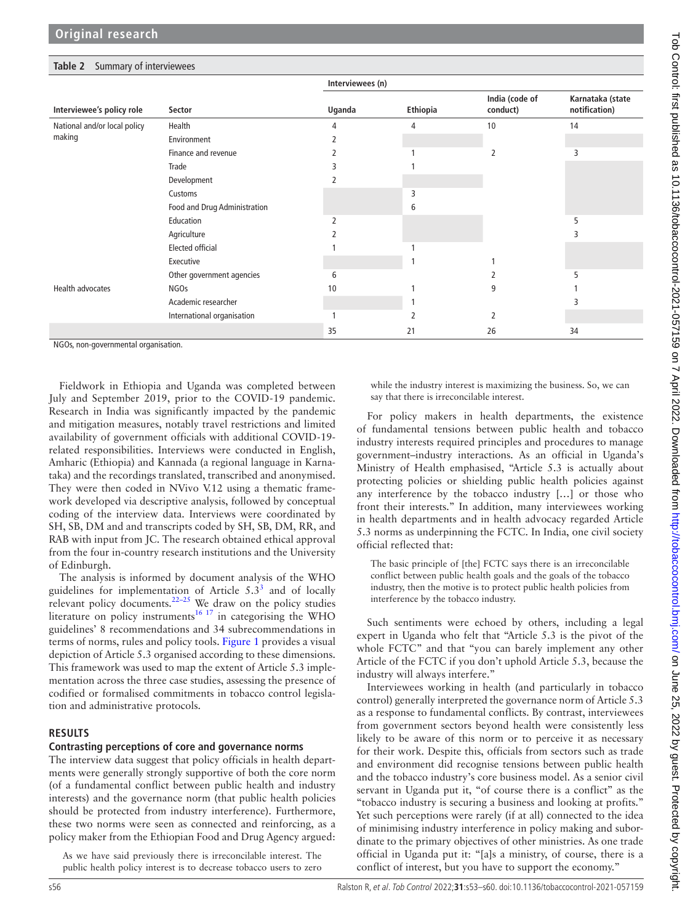|                                        |                              | Interviewees (n) |          |                            |                                   |  |
|----------------------------------------|------------------------------|------------------|----------|----------------------------|-----------------------------------|--|
| Interviewee's policy role              | Sector                       | Uganda           | Ethiopia | India (code of<br>conduct) | Karnataka (state<br>notification) |  |
|                                        |                              |                  |          |                            |                                   |  |
| National and/or local policy<br>making | Health                       | 4                | 4        | 10                         | 14                                |  |
|                                        | Environment                  |                  |          |                            |                                   |  |
|                                        | Finance and revenue          |                  |          |                            | 3                                 |  |
|                                        | Trade                        |                  |          |                            |                                   |  |
|                                        | Development                  |                  |          |                            |                                   |  |
|                                        | Customs                      |                  | 3        |                            |                                   |  |
|                                        | Food and Drug Administration |                  | 6        |                            |                                   |  |
|                                        | Education                    |                  |          |                            | 5                                 |  |
|                                        | Agriculture                  |                  |          |                            |                                   |  |
|                                        | <b>Elected official</b>      |                  |          |                            |                                   |  |
|                                        | Executive                    |                  |          |                            |                                   |  |
|                                        | Other government agencies    | 6                |          |                            |                                   |  |
| <b>Health advocates</b>                | <b>NGOs</b>                  | 10               |          | 9                          |                                   |  |
|                                        | Academic researcher          |                  |          |                            |                                   |  |
|                                        | International organisation   |                  |          |                            |                                   |  |
|                                        |                              | 35               | 21       | 26                         | 34                                |  |

<span id="page-3-0"></span>**Table 2** Summary of interviewees

NGOs, non-governmental organisation.

Fieldwork in Ethiopia and Uganda was completed between July and September 2019, prior to the COVID-19 pandemic. Research in India was significantly impacted by the pandemic and mitigation measures, notably travel restrictions and limited availability of government officials with additional COVID-19 related responsibilities. Interviews were conducted in English, Amharic (Ethiopia) and Kannada (a regional language in Karnataka) and the recordings translated, transcribed and anonymised. They were then coded in NVivo V.12 using a thematic framework developed via descriptive analysis, followed by conceptual coding of the interview data. Interviews were coordinated by SH, SB, DM and and transcripts coded by SH, SB, DM, RR, and RAB with input from JC. The research obtained ethical approval from the four in-country research institutions and the University of Edinburgh.

The analysis is informed by document analysis of the WHO guidelines for implementation of Article  $5.3<sup>3</sup>$  and of locally relevant policy documents. $22-25$  We draw on the policy studies literature on policy instruments<sup>[16 17](#page-6-7)</sup> in categorising the WHO guidelines' 8 recommendations and 34 subrecommendations in terms of norms, rules and policy tools. [Figure](#page-1-0) 1 provides a visual depiction of Article 5.3 organised according to these dimensions. This framework was used to map the extent of Article 5.3 implementation across the three case studies, assessing the presence of codified or formalised commitments in tobacco control legislation and administrative protocols.

## **RESULTS**

## **Contrasting perceptions of core and governance norms**

The interview data suggest that policy officials in health departments were generally strongly supportive of both the core norm (of a fundamental conflict between public health and industry interests) and the governance norm (that public health policies should be protected from industry interference). Furthermore, these two norms were seen as connected and reinforcing, as a policy maker from the Ethiopian Food and Drug Agency argued:

As we have said previously there is irreconcilable interest. The public health policy interest is to decrease tobacco users to zero

while the industry interest is maximizing the business. So, we can say that there is irreconcilable interest.

For policy makers in health departments, the existence of fundamental tensions between public health and tobacco industry interests required principles and procedures to manage government–industry interactions. As an official in Uganda's Ministry of Health emphasised, "Article 5.3 is actually about protecting policies or shielding public health policies against any interference by the tobacco industry [...] or those who front their interests." In addition, many interviewees working in health departments and in health advocacy regarded Article 5.3 norms as underpinning the FCTC. In India, one civil society official reflected that:

The basic principle of [the] FCTC says there is an irreconcilable conflict between public health goals and the goals of the tobacco industry, then the motive is to protect public health policies from interference by the tobacco industry.

Such sentiments were echoed by others, including a legal expert in Uganda who felt that "Article 5.3 is the pivot of the whole FCTC" and that "you can barely implement any other Article of the FCTC if you don't uphold Article 5.3, because the industry will always interfere."

Interviewees working in health (and particularly in tobacco control) generally interpreted the governance norm of Article 5.3 as a response to fundamental conflicts. By contrast, interviewees from government sectors beyond health were consistently less likely to be aware of this norm or to perceive it as necessary for their work. Despite this, officials from sectors such as trade and environment did recognise tensions between public health and the tobacco industry's core business model. As a senior civil servant in Uganda put it, "of course there is a conflict" as the "tobacco industry is securing a business and looking at profits." Yet such perceptions were rarely (if at all) connected to the idea of minimising industry interference in policy making and subordinate to the primary objectives of other ministries. As one trade official in Uganda put it: "[a]s a ministry, of course, there is a conflict of interest, but you have to support the economy."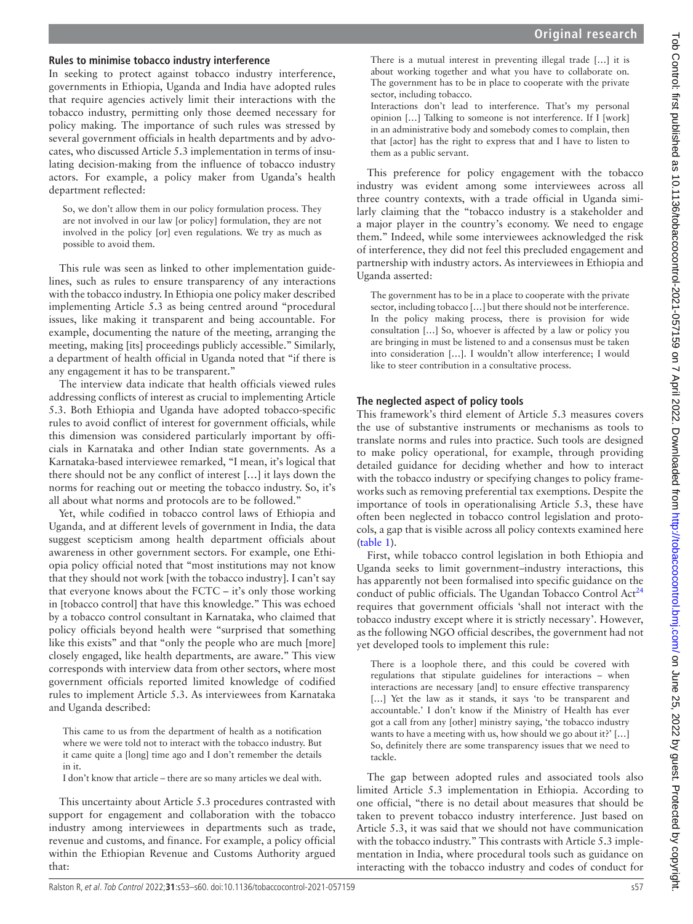# Tob Control: first published as 10.1136/tobaccocontrol-2021-057159 on 7 April 2022. Downloaded from http://tobaccocontrol.bmj.com/ on June 25, 2022 by guest. Protected by copyright Tob Control: first published as 10.1136/tobaccocontrol-2021-057159 on 7 April 2022. Downloaded from <http://tobaccocontrol.bmj.com/> on June 25, 2022 by guest. Protected by copyright.

## **Rules to minimise tobacco industry interference**

In seeking to protect against tobacco industry interference, governments in Ethiopia, Uganda and India have adopted rules that require agencies actively limit their interactions with the tobacco industry, permitting only those deemed necessary for policy making. The importance of such rules was stressed by several government officials in health departments and by advocates, who discussed Article 5.3 implementation in terms of insulating decision-making from the influence of tobacco industry actors. For example, a policy maker from Uganda's health department reflected:

So, we don't allow them in our policy formulation process. They are not involved in our law [or policy] formulation, they are not involved in the policy [or] even regulations. We try as much as possible to avoid them.

This rule was seen as linked to other implementation guidelines, such as rules to ensure transparency of any interactions with the tobacco industry. In Ethiopia one policy maker described implementing Article 5.3 as being centred around "procedural issues, like making it transparent and being accountable. For example, documenting the nature of the meeting, arranging the meeting, making [its] proceedings publicly accessible." Similarly, a department of health official in Uganda noted that "if there is any engagement it has to be transparent."

The interview data indicate that health officials viewed rules addressing conflicts of interest as crucial to implementing Article 5.3. Both Ethiopia and Uganda have adopted tobacco-specific rules to avoid conflict of interest for government officials, while this dimension was considered particularly important by officials in Karnataka and other Indian state governments. As a Karnataka-based interviewee remarked, "I mean, it's logical that there should not be any conflict of interest […] it lays down the norms for reaching out or meeting the tobacco industry. So, it's all about what norms and protocols are to be followed."

Yet, while codified in tobacco control laws of Ethiopia and Uganda, and at different levels of government in India, the data suggest scepticism among health department officials about awareness in other government sectors. For example, one Ethiopia policy official noted that "most institutions may not know that they should not work [with the tobacco industry]. I can't say that everyone knows about the FCTC – it's only those working in [tobacco control] that have this knowledge." This was echoed by a tobacco control consultant in Karnataka, who claimed that policy officials beyond health were "surprised that something like this exists" and that "only the people who are much [more] closely engaged, like health departments, are aware." This view corresponds with interview data from other sectors, where most government officials reported limited knowledge of codified rules to implement Article 5.3. As interviewees from Karnataka and Uganda described:

This came to us from the department of health as a notification where we were told not to interact with the tobacco industry. But it came quite a [long] time ago and I don't remember the details in it.

I don't know that article – there are so many articles we deal with.

This uncertainty about Article 5.3 procedures contrasted with support for engagement and collaboration with the tobacco industry among interviewees in departments such as trade, revenue and customs, and finance. For example, a policy official within the Ethiopian Revenue and Customs Authority argued that:

There is a mutual interest in preventing illegal trade […] it is about working together and what you have to collaborate on. The government has to be in place to cooperate with the private sector, including tobacco.

Interactions don't lead to interference. That's my personal opinion […] Talking to someone is not interference. If I [work] in an administrative body and somebody comes to complain, then that [actor] has the right to express that and I have to listen to them as a public servant.

This preference for policy engagement with the tobacco industry was evident among some interviewees across all three country contexts, with a trade official in Uganda similarly claiming that the "tobacco industry is a stakeholder and a major player in the country's economy. We need to engage them." Indeed, while some interviewees acknowledged the risk of interference, they did not feel this precluded engagement and partnership with industry actors. As interviewees in Ethiopia and Uganda asserted:

The government has to be in a place to cooperate with the private sector, including tobacco […] but there should not be interference. In the policy making process, there is provision for wide consultation […] So, whoever is affected by a law or policy you are bringing in must be listened to and a consensus must be taken into consideration […]. I wouldn't allow interference; I would like to steer contribution in a consultative process.

## **The neglected aspect of policy tools**

This framework's third element of Article 5.3 measures covers the use of substantive instruments or mechanisms as tools to translate norms and rules into practice. Such tools are designed to make policy operational, for example, through providing detailed guidance for deciding whether and how to interact with the tobacco industry or specifying changes to policy frameworks such as removing preferential tax exemptions. Despite the importance of tools in operationalising Article 5.3, these have often been neglected in tobacco control legislation and protocols, a gap that is visible across all policy contexts examined here ([table](#page-2-0) 1).

First, while tobacco control legislation in both Ethiopia and Uganda seeks to limit government–industry interactions, this has apparently not been formalised into specific guidance on the conduct of public officials. The Ugandan Tobacco Control  $Act^{24}$  $Act^{24}$  $Act^{24}$ requires that government officials 'shall not interact with the tobacco industry except where it is strictly necessary'. However, as the following NGO official describes, the government had not yet developed tools to implement this rule:

There is a loophole there, and this could be covered with regulations that stipulate guidelines for interactions – when interactions are necessary [and] to ensure effective transparency [...] Yet the law as it stands, it says 'to be transparent and accountable.' I don't know if the Ministry of Health has ever got a call from any [other] ministry saying, 'the tobacco industry wants to have a meeting with us, how should we go about it?' […] So, definitely there are some transparency issues that we need to tackle.

The gap between adopted rules and associated tools also limited Article 5.3 implementation in Ethiopia. According to one official, "there is no detail about measures that should be taken to prevent tobacco industry interference. Just based on Article 5.3, it was said that we should not have communication with the tobacco industry." This contrasts with Article 5.3 implementation in India, where procedural tools such as guidance on interacting with the tobacco industry and codes of conduct for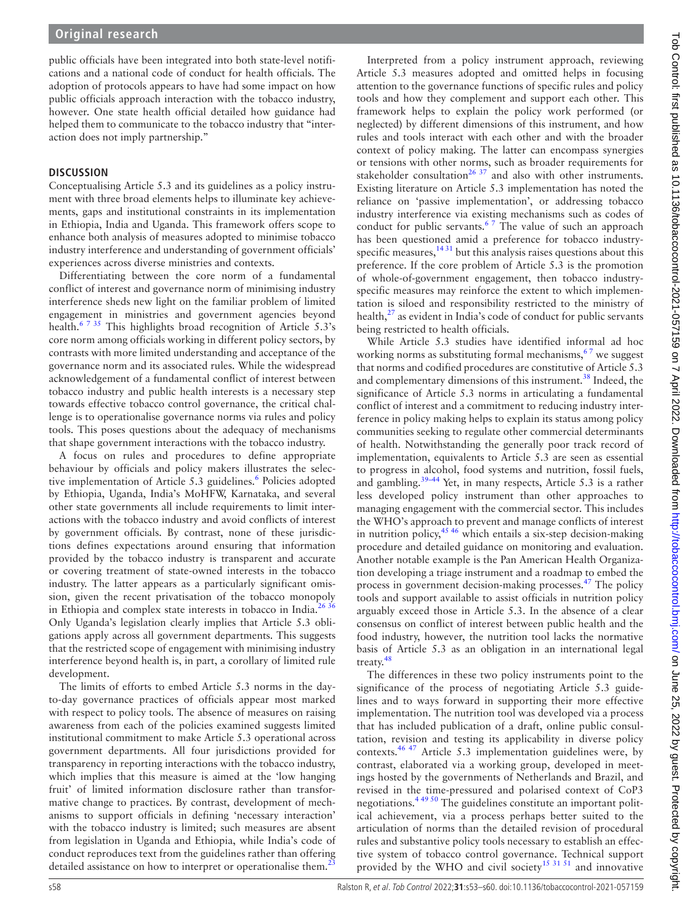public officials have been integrated into both state-level notifications and a national code of conduct for health officials. The adoption of protocols appears to have had some impact on how public officials approach interaction with the tobacco industry, however. One state health official detailed how guidance had helped them to communicate to the tobacco industry that "interaction does not imply partnership."

## **DISCUSSION**

Conceptualising Article 5.3 and its guidelines as a policy instrument with three broad elements helps to illuminate key achievements, gaps and institutional constraints in its implementation in Ethiopia, India and Uganda. This framework offers scope to enhance both analysis of measures adopted to minimise tobacco industry interference and understanding of government officials' experiences across diverse ministries and contexts.

Differentiating between the core norm of a fundamental conflict of interest and governance norm of minimising industry interference sheds new light on the familiar problem of limited engagement in ministries and government agencies beyond health.<sup>6 7 35</sup> This highlights broad recognition of Article 5.3's core norm among officials working in different policy sectors, by contrasts with more limited understanding and acceptance of the governance norm and its associated rules. While the widespread acknowledgement of a fundamental conflict of interest between tobacco industry and public health interests is a necessary step towards effective tobacco control governance, the critical challenge is to operationalise governance norms via rules and policy tools. This poses questions about the adequacy of mechanisms that shape government interactions with the tobacco industry.

A focus on rules and procedures to define appropriate behaviour by officials and policy makers illustrates the selective implementation of Article 5.3 guidelines.<sup>6</sup> Policies adopted by Ethiopia, Uganda, India's MoHFW, Karnataka, and several other state governments all include requirements to limit interactions with the tobacco industry and avoid conflicts of interest by government officials. By contrast, none of these jurisdictions defines expectations around ensuring that information provided by the tobacco industry is transparent and accurate or covering treatment of state-owned interests in the tobacco industry. The latter appears as a particularly significant omission, given the recent privatisation of the tobacco monopoly in Ethiopia and complex state interests in tobacco in India.<sup>26 36</sup> Only Uganda's legislation clearly implies that Article 5.3 obligations apply across all government departments. This suggests that the restricted scope of engagement with minimising industry interference beyond health is, in part, a corollary of limited rule development.

The limits of efforts to embed Article 5.3 norms in the dayto-day governance practices of officials appear most marked with respect to policy tools. The absence of measures on raising awareness from each of the policies examined suggests limited institutional commitment to make Article 5.3 operational across government departments. All four jurisdictions provided for transparency in reporting interactions with the tobacco industry, which implies that this measure is aimed at the 'low hanging fruit' of limited information disclosure rather than transformative change to practices. By contrast, development of mechanisms to support officials in defining 'necessary interaction' with the tobacco industry is limited; such measures are absent from legislation in Uganda and Ethiopia, while India's code of conduct reproduces text from the guidelines rather than offering detailed assistance on how to interpret or operationalise them.<sup>[23](#page-6-13)</sup>

Tob Control: first published as 10.1136/tobaccocontrol-2021-057159 on 7 April 2022. Downloaded from http://tobaccocontrol.bmj.com/ on June 25, 2022 by guest. Protected by copyright Tob Control: first published as 10.1136/tobaccocontrol-2021-057159 on 7 April 2022. Downloaded from <http://tobaccocontrol.bmj.com/> on June 25, 2022 by guest. Protected by copyright. Interpreted from a policy instrument approach, reviewing Article 5.3 measures adopted and omitted helps in focusing

attention to the governance functions of specific rules and policy tools and how they complement and support each other. This framework helps to explain the policy work performed (or neglected) by different dimensions of this instrument, and how rules and tools interact with each other and with the broader context of policy making. The latter can encompass synergies or tensions with other norms, such as broader requirements for stakeholder consultation<sup>26 37</sup> and also with other instruments. Existing literature on Article 5.3 implementation has noted the reliance on 'passive implementation', or addressing tobacco industry interference via existing mechanisms such as codes of conduct for public servants.<sup>67</sup> The value of such an approach has been questioned amid a preference for tobacco industryspecific measures,  $1431$  but this analysis raises questions about this preference. If the core problem of Article 5.3 is the promotion of whole-of-government engagement, then tobacco industryspecific measures may reinforce the extent to which implementation is siloed and responsibility restricted to the ministry of health, $^{27}$  as evident in India's code of conduct for public servants being restricted to health officials. While Article 5.3 studies have identified informal ad hoc working norms as substituting formal mechanisms,  $67$  we suggest

that norms and codified procedures are constitutive of Article 5.3 and complementary dimensions of this instrument.<sup>38</sup> Indeed, the significance of Article 5.3 norms in articulating a fundamental conflict of interest and a commitment to reducing industry interference in policy making helps to explain its status among policy communities seeking to regulate other commercial determinants of health. Notwithstanding the generally poor track record of implementation, equivalents to Article 5.3 are seen as essential to progress in alcohol, food systems and nutrition, fossil fuels, and gambling.[39–44](#page-7-9) Yet, in many respects, Article 5.3 is a rather less developed policy instrument than other approaches to managing engagement with the commercial sector. This includes the WHO's approach to prevent and manage conflicts of interest in nutrition policy,  $45\frac{46}{9}$  which entails a six-step decision-making procedure and detailed guidance on monitoring and evaluation. Another notable example is the Pan American Health Organization developing a triage instrument and a roadmap to embed the process in government decision-making processes.<sup>47</sup> The policy tools and support available to assist officials in nutrition policy arguably exceed those in Article 5.3. In the absence of a clear consensus on conflict of interest between public health and the food industry, however, the nutrition tool lacks the normative basis of Article 5.3 as an obligation in an international legal treaty.<sup>48</sup>

The differences in these two policy instruments point to the significance of the process of negotiating Article 5.3 guidelines and to ways forward in supporting their more effective implementation. The nutrition tool was developed via a process that has included publication of a draft, online public consultation, revision and testing its applicability in diverse policy contexts.[46 47](#page-7-13) Article 5.3 implementation guidelines were, by contrast, elaborated via a working group, developed in meetings hosted by the governments of Netherlands and Brazil, and revised in the time-pressured and polarised context of CoP3 negotiations.[4 49 50](#page-6-3) The guidelines constitute an important political achievement, via a process perhaps better suited to the articulation of norms than the detailed revision of procedural rules and substantive policy tools necessary to establish an effective system of tobacco control governance. Technical support provided by the WHO and civil society<sup>[15 31 51](#page-6-14)</sup> and innovative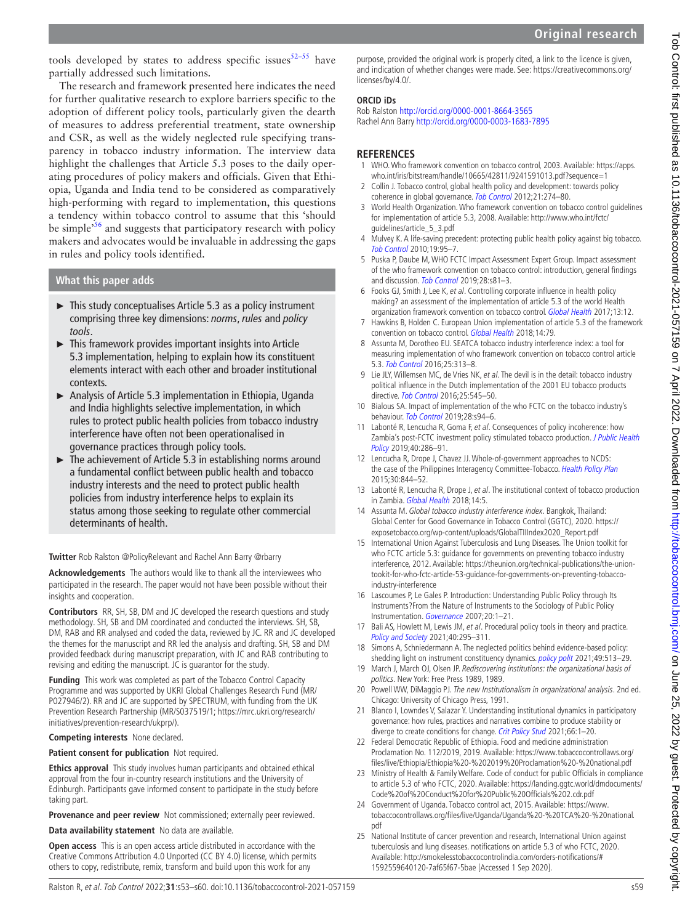tools developed by states to address specific issues<sup>[52–55](#page-7-14)</sup> have partially addressed such limitations.

The research and framework presented here indicates the need for further qualitative research to explore barriers specific to the adoption of different policy tools, particularly given the dearth of measures to address preferential treatment, state ownership and CSR, as well as the widely neglected rule specifying transparency in tobacco industry information. The interview data highlight the challenges that Article 5.3 poses to the daily operating procedures of policy makers and officials. Given that Ethiopia, Uganda and India tend to be considered as comparatively high-performing with regard to implementation, this questions a tendency within tobacco control to assume that this 'should be simple<sup>56</sup> and suggests that participatory research with policy makers and advocates would be invaluable in addressing the gaps in rules and policy tools identified.

## **What this paper adds**

- ► This study conceptualises Article 5.3 as a policy instrument comprising three key dimensions: *norms*, *rules* and *policy tools*.
- ► This framework provides important insights into Article 5.3 implementation, helping to explain how its constituent elements interact with each other and broader institutional contexts.
- ► Analysis of Article 5.3 implementation in Ethiopia, Uganda and India highlights selective implementation, in which rules to protect public health policies from tobacco industry interference have often not been operationalised in governance practices through policy tools.
- ► The achievement of Article 5.3 in establishing norms around a fundamental conflict between public health and tobacco industry interests and the need to protect public health policies from industry interference helps to explain its status among those seeking to regulate other commercial determinants of health.

**Twitter** Rob Ralston [@PolicyRelevant](https://twitter.com/PolicyRelevant) and Rachel Ann Barry [@rbarry](https://twitter.com/rbarry)

**Acknowledgements** The authors would like to thank all the interviewees who participated in the research. The paper would not have been possible without their insights and cooperation.

**Contributors** RR, SH, SB, DM and JC developed the research questions and study methodology. SH, SB and DM coordinated and conducted the interviews. SH, SB, DM, RAB and RR analysed and coded the data, reviewed by JC. RR and JC developed the themes for the manuscript and RR led the analysis and drafting. SH, SB and DM provided feedback during manuscript preparation, with JC and RAB contributing to revising and editing the manuscript. JC is guarantor for the study.

**Funding** This work was completed as part of the Tobacco Control Capacity Programme and was supported by UKRI Global Challenges Research Fund (MR/ P027946/2). RR and JC are supported by SPECTRUM, with funding from the UK Prevention Research Partnership (MR/S037519/1; [https://mrc.ukri.org/research/](https://mrc.ukri.org/research/initiatives/prevention-research/ukprp/) [initiatives/prevention-research/ukprp/](https://mrc.ukri.org/research/initiatives/prevention-research/ukprp/)).

**Competing interests** None declared.

**Patient consent for publication** Not required.

**Ethics approval** This study involves human participants and obtained ethical approval from the four in-country research institutions and the University of Edinburgh. Participants gave informed consent to participate in the study before taking part.

**Provenance and peer review** Not commissioned; externally peer reviewed.

**Data availability statement** No data are available.

**Open access** This is an open access article distributed in accordance with the Creative Commons Attribution 4.0 Unported (CC BY 4.0) license, which permits others to copy, redistribute, remix, transform and build upon this work for any

purpose, provided the original work is properly cited, a link to the licence is given, and indication of whether changes were made. See: [https://creativecommons.org/](https://creativecommons.org/licenses/by/4.0/) [licenses/by/4.0/.](https://creativecommons.org/licenses/by/4.0/)

## **ORCID iDs**

Rob Ralston <http://orcid.org/0000-0001-8664-3565> Rachel Ann Barry<http://orcid.org/0000-0003-1683-7895>

## **REFERENCES**

- <span id="page-6-0"></span>1 WHO. Who framework convention on tobacco control, 2003. Available: [https://apps.](https://apps.who.int/iris/bitstream/handle/10665/42811/9241591013.pdf?sequence=1) [who.int/iris/bitstream/handle/10665/42811/9241591013.pdf?sequence=1](https://apps.who.int/iris/bitstream/handle/10665/42811/9241591013.pdf?sequence=1)
- <span id="page-6-1"></span>2 Collin J. Tobacco control, global health policy and development: towards policy coherence in global governance. [Tob Control](http://dx.doi.org/10.1136/tobaccocontrol-2011-050418) 2012;21:274–80.
- <span id="page-6-2"></span>3 World Health Organization. Who framework convention on tobacco control guidelines for implementation of article 5.3, 2008. Available: [http://www.who.int/fctc/](http://www.who.int/fctc/%20guidelines/article_5_3.pdf)  [guidelines/article\\_5\\_3.pdf](http://www.who.int/fctc/%20guidelines/article_5_3.pdf)
- <span id="page-6-3"></span>4 Mulvey K. A life-saving precedent: protecting public health policy against big tobacco. [Tob Control](http://dx.doi.org/10.1136/tc.2009.032755) 2010;19:95–7.
- <span id="page-6-4"></span>5 Puska P, Daube M, WHO FCTC Impact Assessment Expert Group. Impact assessment of the who framework convention on tobacco control: introduction, general findings and discussion. [Tob Control](http://dx.doi.org/10.1136/tobaccocontrol-2018-054429) 2019;28:s81–3.
- <span id="page-6-5"></span>6 Fooks GJ, Smith J, Lee K, et al. Controlling corporate influence in health policy making? an assessment of the implementation of article 5.3 of the world Health organization framework convention on tobacco control. [Global Health](http://dx.doi.org/10.1186/s12992-017-0234-8) 2017:13:12.
- 7 Hawkins B, Holden C. European Union implementation of article 5.3 of the framework convention on tobacco control. [Global Health](http://dx.doi.org/10.1186/s12992-018-0386-1) 2018;14:79.
- 8 Assunta M, Dorotheo EU. SEATCA tobacco industry interference index: a tool for measuring implementation of who framework convention on tobacco control article 5.3. [Tob Control](http://dx.doi.org/10.1136/tobaccocontrol-2014-051934) 2016;25:313–8.
- 9 Lie JLY, Willemsen MC, de Vries NK, et al. The devil is in the detail: tobacco industry political influence in the Dutch implementation of the 2001 EU tobacco products directive. [Tob Control](http://dx.doi.org/10.1136/tobaccocontrol-2015-052302) 2016;25:545-50.
- 10 Bialous SA. Impact of implementation of the who FCTC on the tobacco industry's behaviour. [Tob Control](http://dx.doi.org/10.1136/tobaccocontrol-2018-054808) 2019;28:s94-6.
- 11 Labonté R, Lencucha R, Goma F, et al. Consequences of policy incoherence: how Zambia's post-FCTC investment policy stimulated tobacco production. *J Public Health* [Policy](http://dx.doi.org/10.1057/s41271-019-00171-8) 2019;40:286–91.
- 12 Lencucha R, Drope J, Chavez JJ. Whole-of-government approaches to NCDS: the case of the Philippines Interagency Committee-Tobacco. [Health Policy Plan](http://dx.doi.org/10.1093/heapol/czu085) 2015;30:844–52.
- 13 Labonté R, Lencucha R, Drope J, et al. The institutional context of tobacco production in Zambia. [Global Health](http://dx.doi.org/10.1186/s12992-018-0328-y) 2018;14:5.
- <span id="page-6-6"></span>14 Assunta M. Global tobacco industry interference index. Bangkok, Thailand: Global Center for Good Governance in Tobacco Control (GGTC), 2020. [https://](https://exposetobacco.org/wp-content/uploads/GlobalTIIIndex2020_Report.pdf) [exposetobacco.org/wp-content/uploads/GlobalTIIIndex2020\\_Report.pdf](https://exposetobacco.org/wp-content/uploads/GlobalTIIIndex2020_Report.pdf)
- <span id="page-6-14"></span>15 International Union Against Tuberculosis and Lung Diseases. The Union toolkit for who FCTC article 5.3: guidance for governments on preventing tobacco industry interference, 2012. Available: [https://theunion.org/technical-publications/the-union](https://theunion.org/technical-publications/the-union-tookit-for-who-fctc-article-53-guidance-for-governments-on-preventing-tobacco-industry-interference)[tookit-for-who-fctc-article-53-guidance-for-governments-on-preventing-tobacco](https://theunion.org/technical-publications/the-union-tookit-for-who-fctc-article-53-guidance-for-governments-on-preventing-tobacco-industry-interference)[industry-interference](https://theunion.org/technical-publications/the-union-tookit-for-who-fctc-article-53-guidance-for-governments-on-preventing-tobacco-industry-interference)
- <span id="page-6-7"></span>16 Lascoumes P, Le Gales P. Introduction: Understanding Public Policy through Its Instruments?From the Nature of Instruments to the Sociology of Public Policy Instrumentation. [Governance](http://dx.doi.org/10.1111/j.1468-0491.2007.00342.x) 2007;20:1–21.
- <span id="page-6-10"></span>17 Bali AS, Howlett M, Lewis JM, et al. Procedural policy tools in theory and practice. [Policy and Society](http://dx.doi.org/10.1080/14494035.2021.1965379) 2021;40:295–311.
- 18 Simons A, Schniedermann A. The neglected politics behind evidence-based policy: shedding light on instrument constituency dynamics. [policy polit](http://dx.doi.org/10.1332/030557321X16225469993170) 2021;49:513-29.
- <span id="page-6-8"></span>19 March J, March OJ, Olsen JP. Rediscovering institutions: the organizational basis of politics. New York: Free Press 1989, 1989.
- <span id="page-6-9"></span>20 Powell WW, DiMaggio PJ. The new Institutionalism in organizational analysis. 2nd ed. Chicago: University of Chicago Press, 1991.
- 21 Blanco I, Lowndes V, Salazar Y. Understanding institutional dynamics in participatory governance: how rules, practices and narratives combine to produce stability or diverge to create conditions for change. [Crit Policy Stud](http://dx.doi.org/10.1080/19460171.2021.1984265) 2021;66:1-20.
- <span id="page-6-11"></span>22 Federal Democratic Republic of Ethiopia. Food and medicine administration Proclamation No. 112/2019, 2019. Available: [https://www.tobaccocontrollaws.org/](https://www.tobaccocontrollaws.org/files/live/Ethiopia/Ethiopia%20-%202019%20Proclamation%20-%20national.pdf) [files/live/Ethiopia/Ethiopia%20-%202019%20Proclamation%20-%20national.pdf](https://www.tobaccocontrollaws.org/files/live/Ethiopia/Ethiopia%20-%202019%20Proclamation%20-%20national.pdf)
- <span id="page-6-13"></span>23 Ministry of Health & Family Welfare. Code of conduct for public Officials in compliance to article 5.3 of who FCTC, 2020. Available: [https://landing.ggtc.world/dmdocuments/](https://landing.ggtc.world/dmdocuments/Code%20of%20Conduct%20for%20Public%20Officials%202.cdr.pdf) [Code%20of%20Conduct%20for%20Public%20Officials%202.cdr.pdf](https://landing.ggtc.world/dmdocuments/Code%20of%20Conduct%20for%20Public%20Officials%202.cdr.pdf)
- <span id="page-6-12"></span>24 Government of Uganda. Tobacco control act, 2015. Available: [https://www.](https://www.tobaccocontrollaws.org/files/live/Uganda/Uganda%20-%20TCA%20-%20national.pdf) [tobaccocontrollaws.org/files/live/Uganda/Uganda%20-%20TCA%20-%20national.](https://www.tobaccocontrollaws.org/files/live/Uganda/Uganda%20-%20TCA%20-%20national.pdf) [pdf](https://www.tobaccocontrollaws.org/files/live/Uganda/Uganda%20-%20TCA%20-%20national.pdf)
- 25 National Institute of cancer prevention and research, International Union against tuberculosis and lung diseases. notifications on article 5.3 of who FCTC, 2020. Available: [http://smokelesstobaccocontrolindia.com/orders-notifications/#](http://smokelesstobaccocontrolindia.com/orders-notifications/#1592559640120-7af65f67-5bae) [1592559640120-7af65f67-5bae](http://smokelesstobaccocontrolindia.com/orders-notifications/#1592559640120-7af65f67-5bae) [Accessed 1 Sep 2020].